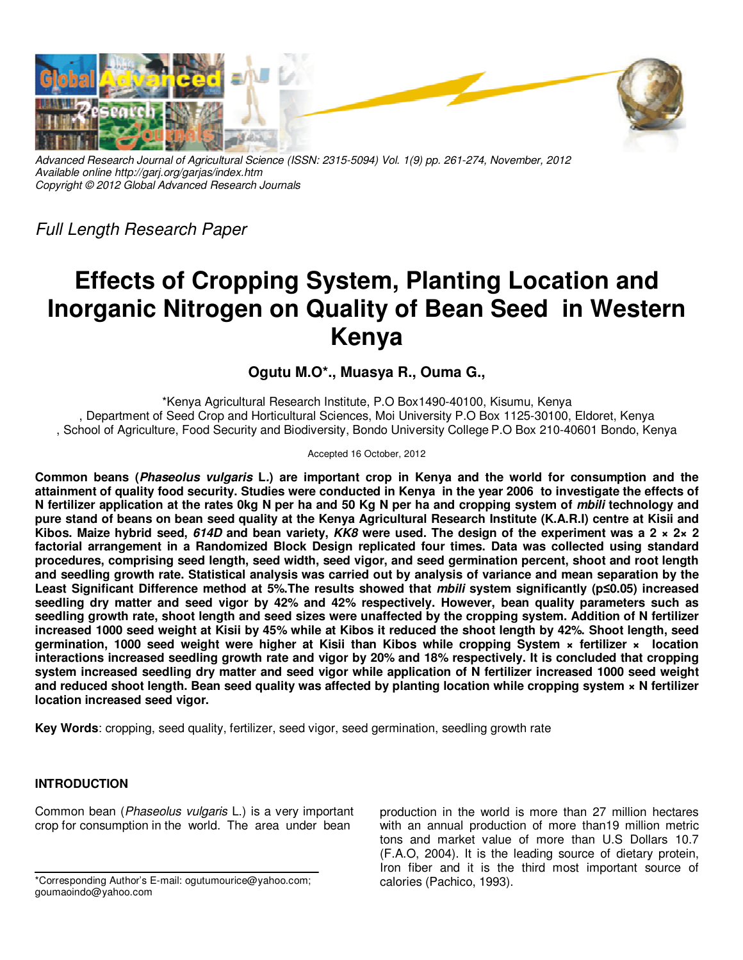

*Advanced Research Journal of Agricultural Science (ISSN: 2315-5094) Vol. 1(9) pp. 261-274, November, 2012 Available online http://garj.org/garjas/index.htm Copyright © 2012 Global Advanced Research Journals* 

*Full Length Research Paper* 

# **Effects of Cropping System, Planting Location and Inorganic Nitrogen on Quality of Bean Seed in Western Kenya**

**Ogutu M.O\*., Muasya R., Ouma G.,** 

\*Kenya Agricultural Research Institute, P.O Box1490-40100, Kisumu, Kenya , Department of Seed Crop and Horticultural Sciences, Moi University P.O Box 1125-30100, Eldoret, Kenya , School of Agriculture, Food Security and Biodiversity, Bondo University College P.O Box 210-40601 Bondo, Kenya

Accepted 16 October, 2012

**Common beans (Phaseolus vulgaris L.) are important crop in Kenya and the world for consumption and the attainment of quality food security. Studies were conducted in Kenya in the year 2006 to investigate the effects of N fertilizer application at the rates 0kg N per ha and 50 Kg N per ha and cropping system of mbili technology and pure stand of beans on bean seed quality at the Kenya Agricultural Research Institute (K.A.R.I) centre at Kisii and Kibos. Maize hybrid seed, 614D and bean variety, KK8 were used. The design of the experiment was a 2 × 2× 2 factorial arrangement in a Randomized Block Design replicated four times. Data was collected using standard procedures, comprising seed length, seed width, seed vigor, and seed germination percent, shoot and root length and seedling growth rate. Statistical analysis was carried out by analysis of variance and mean separation by the Least Significant Difference method at 5%.The results showed that mbili system significantly (p≤0.05) increased seedling dry matter and seed vigor by 42% and 42% respectively. However, bean quality parameters such as seedling growth rate, shoot length and seed sizes were unaffected by the cropping system. Addition of N fertilizer increased 1000 seed weight at Kisii by 45% while at Kibos it reduced the shoot length by 42%. Shoot length, seed germination, 1000 seed weight were higher at Kisii than Kibos while cropping System × fertilizer × location interactions increased seedling growth rate and vigor by 20% and 18% respectively. It is concluded that cropping system increased seedling dry matter and seed vigor while application of N fertilizer increased 1000 seed weight and reduced shoot length. Bean seed quality was affected by planting location while cropping system × N fertilizer location increased seed vigor.** 

**Key Words**: cropping, seed quality, fertilizer, seed vigor, seed germination, seedling growth rate

# **INTRODUCTION**

Common bean (*Phaseolus vulgaris* L.) is a very important crop for consumption in the world. The area under bean

production in the world is more than 27 million hectares with an annual production of more than19 million metric tons and market value of more than U.S Dollars 10.7 (F.A.O, 2004). It is the leading source of dietary protein, Iron fiber and it is the third most important source of calories (Pachico, 1993).

<sup>\*</sup>Corresponding Author's E-mail: ogutumourice@yahoo.com; goumaoindo@yahoo.com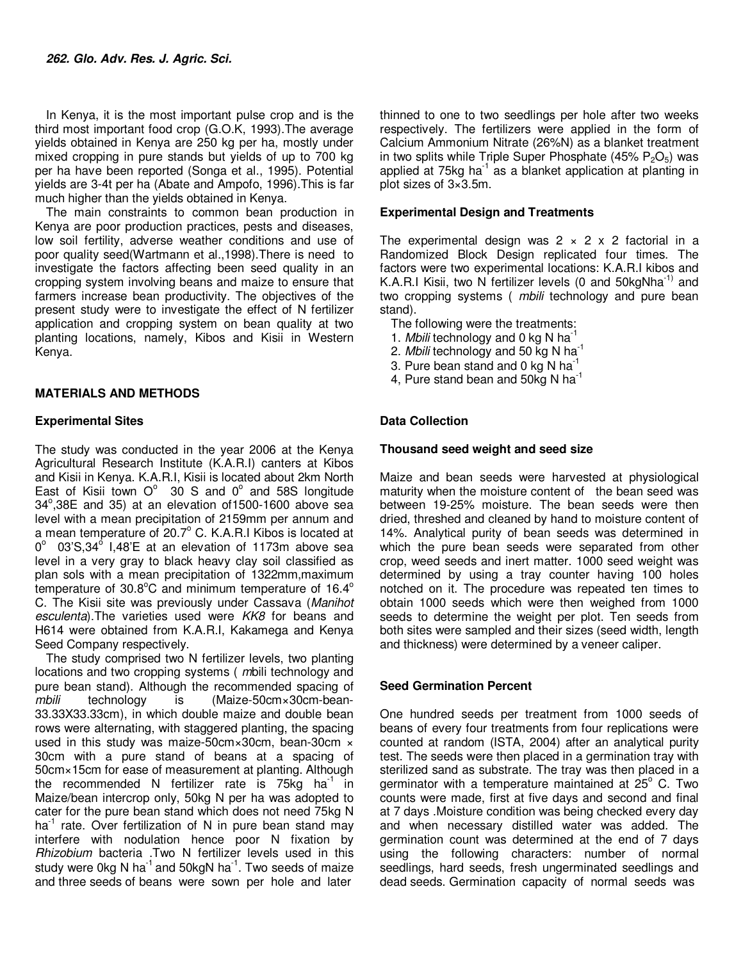In Kenya, it is the most important pulse crop and is the third most important food crop (G.O.K, 1993).The average yields obtained in Kenya are 250 kg per ha, mostly under mixed cropping in pure stands but yields of up to 700 kg per ha have been reported (Songa et al., 1995). Potential yields are 3-4t per ha (Abate and Ampofo, 1996).This is far much higher than the yields obtained in Kenya.

The main constraints to common bean production in Kenya are poor production practices, pests and diseases, low soil fertility, adverse weather conditions and use of poor quality seed(Wartmann et al.,1998).There is need to investigate the factors affecting been seed quality in an cropping system involving beans and maize to ensure that farmers increase bean productivity. The objectives of the present study were to investigate the effect of N fertilizer application and cropping system on bean quality at two planting locations, namely, Kibos and Kisii in Western Kenya.

# **MATERIALS AND METHODS**

# **Experimental Sites**

The study was conducted in the year 2006 at the Kenya Agricultural Research Institute (K.A.R.I) canters at Kibos and Kisii in Kenya. K.A.R.I, Kisii is located about 2km North East of Kisii town  $O^{\circ}$  30 S and  $0^{\circ}$  and 58S longitude 34°,38E and 35) at an elevation of 1500-1600 above sea level with a mean precipitation of 2159mm per annum and a mean temperature of  $20.7^{\circ}$  C. K.A.R.I Kibos is located at  $0^{\circ}$  03'S,34 $^{\circ}$  I,48'E at an elevation of 1173m above sea level in a very gray to black heavy clay soil classified as plan sols with a mean precipitation of 1322mm,maximum temperature of 30.8 $^{\circ}$ C and minimum temperature of 16.4 $^{\circ}$ C. The Kisii site was previously under Cassava (*Manihot esculenta*).The varieties used were *KK8* for beans and H614 were obtained from K.A.R.I, Kakamega and Kenya Seed Company respectively.

The study comprised two N fertilizer levels, two planting locations and two cropping systems ( *m*bili technology and pure bean stand). Although the recommended spacing of *mbili* technology is (Maize-50cm×30cm-bean-33.33X33.33cm), in which double maize and double bean rows were alternating, with staggered planting, the spacing used in this study was maize-50cm×30cm, bean-30cm × 30cm with a pure stand of beans at a spacing of 50cm×15cm for ease of measurement at planting. Although the recommended N fertilizer rate is 75 $kg$  ha<sup>-1</sup> in Maize/bean intercrop only, 50kg N per ha was adopted to cater for the pure bean stand which does not need 75kg N  $ha<sup>-1</sup>$  rate. Over fertilization of N in pure bean stand may interfere with nodulation hence poor N fixation by *Rhizobium* bacteria .Two N fertilizer levels used in this study were 0kg N ha<sup>-1</sup> and 50kgN ha<sup>-1</sup>. Two seeds of maize and three seeds of beans were sown per hole and later

thinned to one to two seedlings per hole after two weeks respectively. The fertilizers were applied in the form of Calcium Ammonium Nitrate (26%N) as a blanket treatment in two splits while Triple Super Phosphate  $(45\% \text{ P}_2\text{O}_5)$  was applied at  $75kg$  ha<sup>-1</sup> as a blanket application at planting in plot sizes of 3×3.5m.

# **Experimental Design and Treatments**

The experimental design was  $2 \times 2 \times 2$  factorial in a Randomized Block Design replicated four times. The factors were two experimental locations: K.A.R.I kibos and K.A.R.I Kisii, two N fertilizer levels (0 and  $50$ kgNha<sup>-1)</sup> and two cropping systems ( *mbili* technology and pure bean stand).

- The following were the treatments:
- 1. *Mbili* technology and 0 kg N ha-1
- 2. *Mbili* technology and 50 kg N ha-1
- 3. Pure bean stand and 0 kg N ha<sup>-1</sup>
- 4, Pure stand bean and  $50\mathrm{kg}$  N ha<sup>-1</sup>

# **Data Collection**

#### **Thousand seed weight and seed size**

Maize and bean seeds were harvested at physiological maturity when the moisture content of the bean seed was between 19-25% moisture. The bean seeds were then dried, threshed and cleaned by hand to moisture content of 14%. Analytical purity of bean seeds was determined in which the pure bean seeds were separated from other crop, weed seeds and inert matter. 1000 seed weight was determined by using a tray counter having 100 holes notched on it. The procedure was repeated ten times to obtain 1000 seeds which were then weighed from 1000 seeds to determine the weight per plot. Ten seeds from both sites were sampled and their sizes (seed width, length and thickness) were determined by a veneer caliper.

## **Seed Germination Percent**

One hundred seeds per treatment from 1000 seeds of beans of every four treatments from four replications were counted at random (ISTA, 2004) after an analytical purity test. The seeds were then placed in a germination tray with sterilized sand as substrate. The tray was then placed in a germinator with a temperature maintained at  $25^{\circ}$  C. Two counts were made, first at five days and second and final at 7 days .Moisture condition was being checked every day and when necessary distilled water was added. The germination count was determined at the end of 7 days using the following characters: number of normal seedlings, hard seeds, fresh ungerminated seedlings and dead seeds. Germination capacity of normal seeds was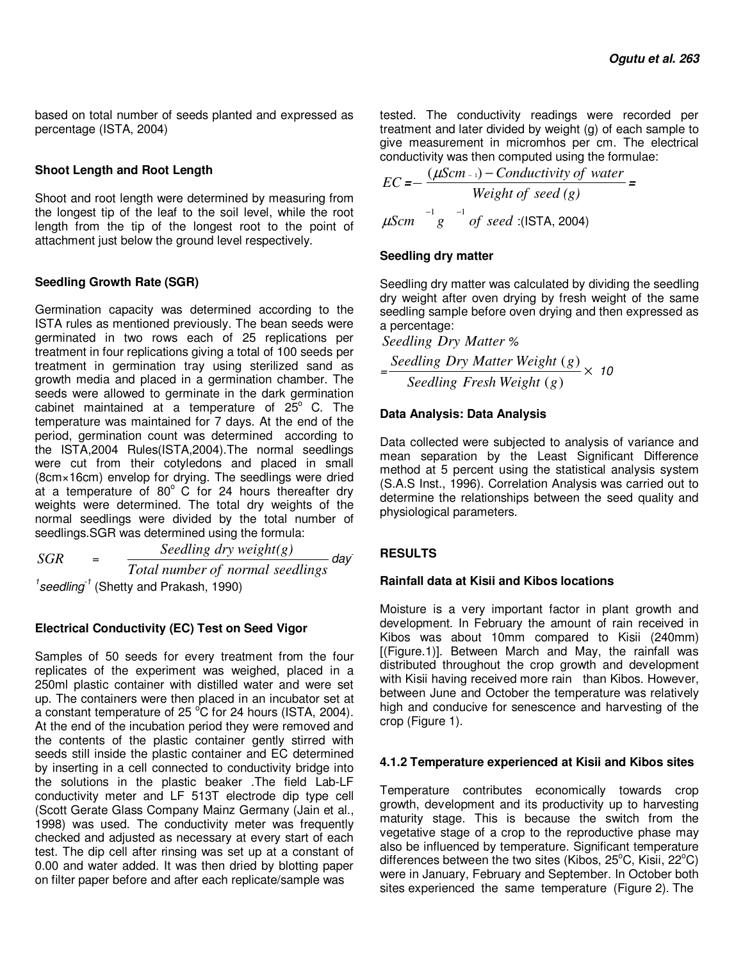based on total number of seeds planted and expressed as percentage (ISTA, 2004)

## **Shoot Length and Root Length**

Shoot and root length were determined by measuring from the longest tip of the leaf to the soil level, while the root length from the tip of the longest root to the point of attachment just below the ground level respectively.

# **Seedling Growth Rate (SGR)**

Germination capacity was determined according to the ISTA rules as mentioned previously. The bean seeds were germinated in two rows each of 25 replications per treatment in four replications giving a total of 100 seeds per treatment in germination tray using sterilized sand as growth media and placed in a germination chamber. The seeds were allowed to germinate in the dark germination cabinet maintained at a temperature of  $25^{\circ}$  C. The temperature was maintained for 7 days. At the end of the period, germination count was determined according to the ISTA,2004 Rules(ISTA,2004).The normal seedlings were cut from their cotyledons and placed in small (8cm×16cm) envelop for drying. The seedlings were dried at a temperature of  $80^{\circ}$  C for 24 hours thereafter dry weights were determined. The total dry weights of the normal seedlings were divided by the total number of seedlings.SGR was determined using the formula:

*SGR* = *Total number of normal seedlings Seedling dry weight(g) day-1 seedling-1* (Shetty and Prakash, 1990)

# **Electrical Conductivity (EC) Test on Seed Vigor**

Samples of 50 seeds for every treatment from the four replicates of the experiment was weighed, placed in a 250ml plastic container with distilled water and were set up. The containers were then placed in an incubator set at a constant temperature of 25 $\degree$ C for 24 hours (ISTA, 2004). At the end of the incubation period they were removed and the contents of the plastic container gently stirred with seeds still inside the plastic container and EC determined by inserting in a cell connected to conductivity bridge into the solutions in the plastic beaker .The field Lab-LF conductivity meter and LF 513T electrode dip type cell (Scott Gerate Glass Company Mainz Germany (Jain et al., 1998) was used. The conductivity meter was frequently checked and adjusted as necessary at every start of each test. The dip cell after rinsing was set up at a constant of 0.00 and water added. It was then dried by blotting paper on filter paper before and after each replicate/sample was

tested. The conductivity readings were recorded per treatment and later divided by weight (g) of each sample to give measurement in micromhos per cm. The electrical conductivity was then computed using the formulae:

$$
EC = -\frac{(\mu\text{S}cm_{-1}) - Conductivity\ of\ water}{Weight\ of\ seed\ (g)}
$$
  

$$
\mu\text{S}cm^{-1}g^{-1}\ of\ seed\ (|\text{STA}, 2004)
$$

# **Seedling dry matter**

Seedling dry matter was calculated by dividing the seedling dry weight after oven drying by fresh weight of the same seedling sample before oven drying and then expressed as a percentage:

*Seedling Dry Matter %*

$$
=\frac{Seeding \; Dry \; Matter \; Weight \; (g)}{Seeding \; Fresh \; Weight \; (g)} \times 10
$$

# **Data Analysis: Data Analysis**

Data collected were subjected to analysis of variance and mean separation by the Least Significant Difference method at 5 percent using the statistical analysis system (S.A.S Inst., 1996). Correlation Analysis was carried out to determine the relationships between the seed quality and physiological parameters.

# **RESULTS**

## **Rainfall data at Kisii and Kibos locations**

Moisture is a very important factor in plant growth and development. In February the amount of rain received in Kibos was about 10mm compared to Kisii (240mm) [(Figure.1)]. Between March and May, the rainfall was distributed throughout the crop growth and development with Kisii having received more rain than Kibos. However, between June and October the temperature was relatively high and conducive for senescence and harvesting of the crop (Figure 1).

## **4.1.2 Temperature experienced at Kisii and Kibos sites**

Temperature contributes economically towards crop growth, development and its productivity up to harvesting maturity stage. This is because the switch from the vegetative stage of a crop to the reproductive phase may also be influenced by temperature. Significant temperature differences between the two sites (Kibos,  $25^{\circ}$ C, Kisii,  $22^{\circ}$ C) were in January, February and September. In October both sites experienced the same temperature (Figure 2). The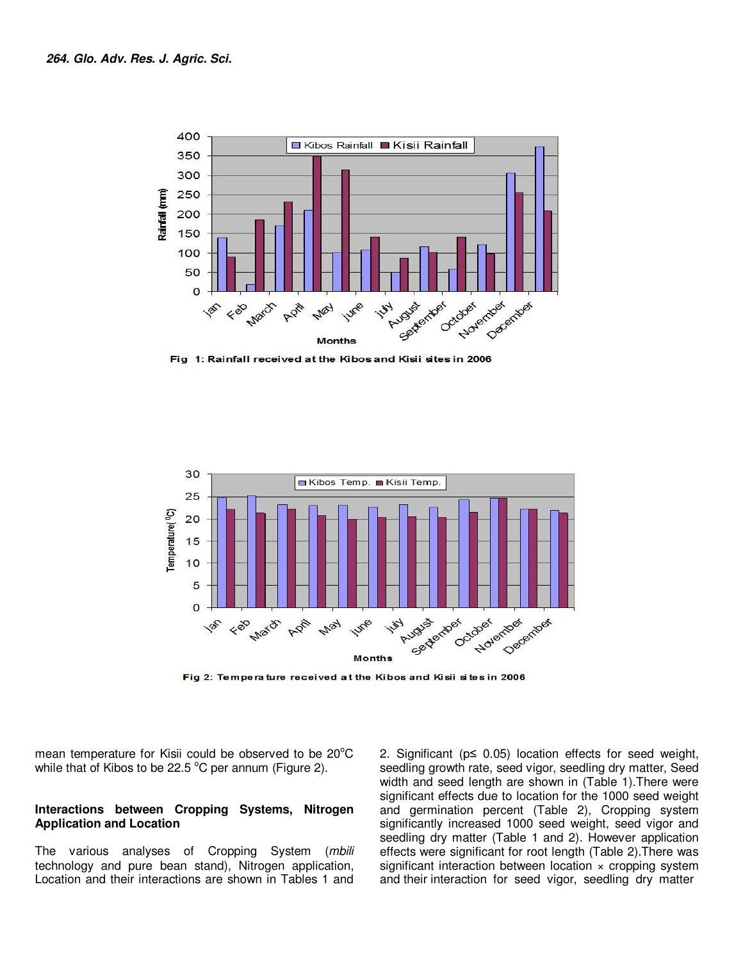

Fig 1: Rainfall received at the Kibos and Kisii sites in 2006



Fig 2: Temperature received at the Kibos and Kisii sites in 2006

mean temperature for Kisii could be observed to be 20°C while that of Kibos to be 22.5  $\degree$ C per annum (Figure 2).

#### **Interactions between Cropping Systems, Nitrogen Application and Location**

The various analyses of Cropping System (*mbili* technology and pure bean stand), Nitrogen application, Location and their interactions are shown in Tables 1 and

2. Significant (p≤ 0.05) location effects for seed weight, seedling growth rate, seed vigor, seedling dry matter, Seed width and seed length are shown in (Table 1).There were significant effects due to location for the 1000 seed weight and germination percent (Table 2), Cropping system significantly increased 1000 seed weight, seed vigor and seedling dry matter (Table 1 and 2). However application effects were significant for root length (Table 2).There was significant interaction between location x cropping system and their interaction for seed vigor, seedling dry matter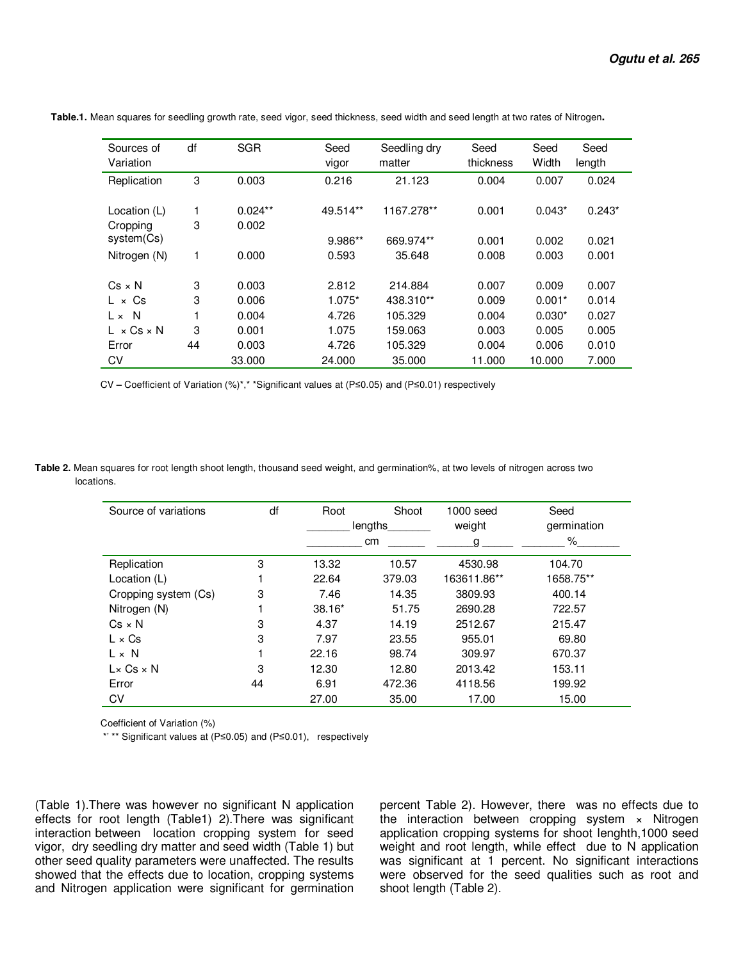| Sources of<br>Variation                | df | <b>SGR</b> | Seed<br>vigor | Seedling dry<br>matter | Seed<br>thickness | Seed<br>Width | Seed<br>length |
|----------------------------------------|----|------------|---------------|------------------------|-------------------|---------------|----------------|
| Replication                            | 3  | 0.003      | 0.216         | 21.123                 | 0.004             | 0.007         | 0.024          |
| Location (L)                           | 1  | $0.024**$  | 49.514**      | 1167.278**             | 0.001             | $0.043*$      | $0.243*$       |
| Cropping                               | 3  | 0.002      |               |                        |                   |               |                |
| system(Cs)                             |    |            | 9.986**       | 669.974**              | 0.001             | 0.002         | 0.021          |
| Nitrogen (N)                           | 1  | 0.000      | 0.593         | 35.648                 | 0.008             | 0.003         | 0.001          |
| $Cs \times N$                          | 3  | 0.003      | 2.812         | 214.884                | 0.007             | 0.009         | 0.007          |
| $L \times Cs$                          | 3  | 0.006      | $1.075*$      | 438.310**              | 0.009             | $0.001*$      | 0.014          |
| - N<br>$L \times$                      |    | 0.004      | 4.726         | 105.329                | 0.004             | $0.030*$      | 0.027          |
| $\times$ Cs $\times$ N<br>$\mathbf{L}$ | 3  | 0.001      | 1.075         | 159.063                | 0.003             | 0.005         | 0.005          |
| Error                                  | 44 | 0.003      | 4.726         | 105.329                | 0.004             | 0.006         | 0.010          |
| CV                                     |    | 33,000     | 24.000        | 35,000                 | 11.000            | 10.000        | 7.000          |

 **Table.1.** Mean squares for seedling growth rate, seed vigor, seed thickness, seed width and seed length at two rates of Nitrogen**.** 

CV **–** Coefficient of Variation (%)\*,\* \*Significant values at (P≤0.05) and (P≤0.01) respectively

**Table 2.** Mean squares for root length shoot length, thousand seed weight, and germination%, at two levels of nitrogen across two locations.

| Source of variations   | df | Root     | Shoot<br>lengths |             | Seed<br>germination |
|------------------------|----|----------|------------------|-------------|---------------------|
|                        |    |          | <sub>cm</sub>    | weight<br>a | $\%$                |
| Replication            | 3  | 13.32    | 10.57            | 4530.98     | 104.70              |
| Location (L)           |    | 22.64    | 379.03           | 163611.86** | 1658.75**           |
| Cropping system (Cs)   | 3  | 7.46     | 14.35            | 3809.93     | 400.14              |
| Nitrogen (N)           |    | $38.16*$ | 51.75            | 2690.28     | 722.57              |
| $Cs \times N$          | 3  | 4.37     | 14.19            | 2512.67     | 215.47              |
| $L \times Cs$          | 3  | 7.97     | 23.55            | 955.01      | 69.80               |
| $L \times N$           |    | 22.16    | 98.74            | 309.97      | 670.37              |
| $L \times Cs \times N$ | 3  | 12.30    | 12.80            | 2013.42     | 153.11              |
| Error                  | 44 | 6.91     | 472.36           | 4118.56     | 199.92              |
| CV                     |    | 27.00    | 35.00            | 17.00       | 15.00               |

Coefficient of Variation (%)

\*' \*\* Significant values at (P≤0.05) and (P≤0.01), respectively

(Table 1).There was however no significant N application effects for root length (Table1) 2).There was significant interaction between location cropping system for seed vigor, dry seedling dry matter and seed width (Table 1) but other seed quality parameters were unaffected. The results showed that the effects due to location, cropping systems and Nitrogen application were significant for germination

percent Table 2). However, there was no effects due to the interaction between cropping system x Nitrogen application cropping systems for shoot lenghth,1000 seed weight and root length, while effect due to N application was significant at 1 percent. No significant interactions were observed for the seed qualities such as root and shoot length (Table 2).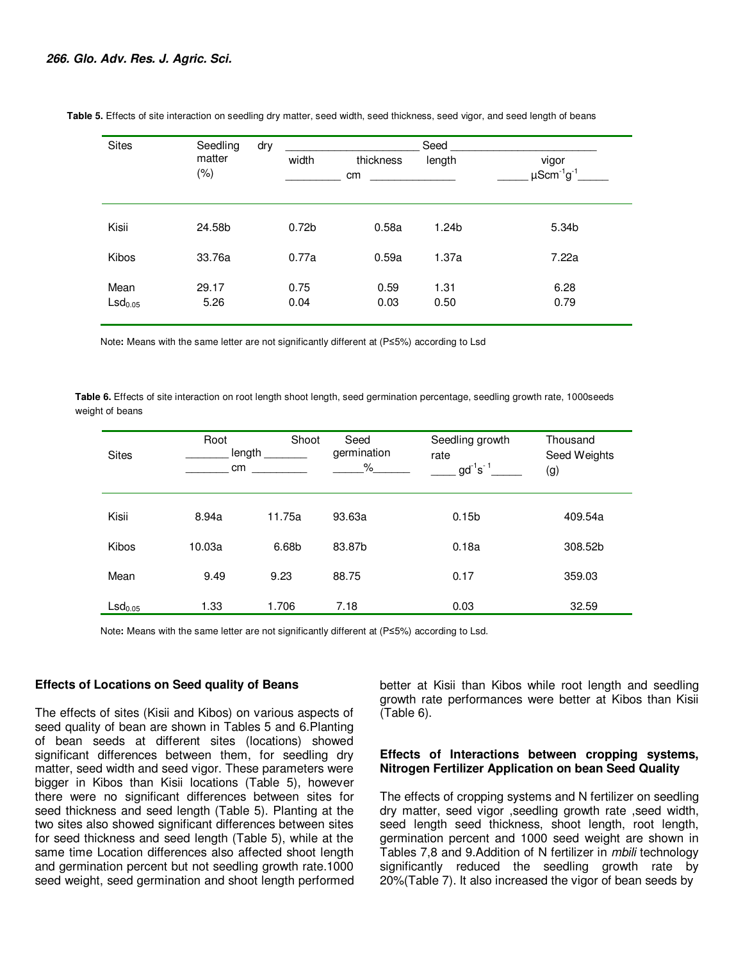| <b>Sites</b>                | Seedling       | dry |                   |                 | Seed              |                                      |
|-----------------------------|----------------|-----|-------------------|-----------------|-------------------|--------------------------------------|
|                             | matter<br>(% ) |     | width             | thickness<br>cm | length            | vigor<br>$\mu$ Scm $^{-1}$ g $^{-1}$ |
| Kisii                       | 24.58b         |     | 0.72 <sub>b</sub> | 0.58a           | 1.24 <sub>b</sub> | 5.34b                                |
| Kibos                       | 33.76a         |     | 0.77a             | 0.59a           | 1.37a             | 7.22a                                |
| Mean<br>LSd <sub>0.05</sub> | 29.17<br>5.26  |     | 0.75<br>0.04      | 0.59<br>0.03    | 1.31<br>0.50      | 6.28<br>0.79                         |

 **Table 5.** Effects of site interaction on seedling dry matter, seed width, seed thickness, seed vigor, and seed length of beans

Note**:** Means with the same letter are not significantly different at (P≤5%) according to Lsd

 **Table 6.** Effects of site interaction on root length shoot length, seed germination percentage, seedling growth rate, 1000seeds weight of beans

| <b>Sites</b>        | Root<br>length<br>cm | Shoot  | Seed<br>germination<br>$\%$ | Seedling growth<br>rate<br>$\mathsf{gd}^{\text{-1}}\mathsf{s}^{\text{-1}}$ | Thousand<br>Seed Weights<br>(g) |
|---------------------|----------------------|--------|-----------------------------|----------------------------------------------------------------------------|---------------------------------|
| Kisii               | 8.94a                | 11.75a | 93.63a                      | 0.15 <sub>b</sub>                                                          | 409.54a                         |
| <b>Kibos</b>        | 10.03a               | 6.68b  | 83.87b                      | 0.18a                                                                      | 308.52b                         |
| Mean                | 9.49                 | 9.23   | 88.75                       | 0.17                                                                       | 359.03                          |
| LSd <sub>0.05</sub> | 1.33                 | 1.706  | 7.18                        | 0.03                                                                       | 32.59                           |

Note**:** Means with the same letter are not significantly different at (P≤5%) according to Lsd.

#### **Effects of Locations on Seed quality of Beans**

The effects of sites (Kisii and Kibos) on various aspects of seed quality of bean are shown in Tables 5 and 6.Planting of bean seeds at different sites (locations) showed significant differences between them, for seedling dry matter, seed width and seed vigor. These parameters were bigger in Kibos than Kisii locations (Table 5), however there were no significant differences between sites for seed thickness and seed length (Table 5). Planting at the two sites also showed significant differences between sites for seed thickness and seed length (Table 5), while at the same time Location differences also affected shoot length and germination percent but not seedling growth rate.1000 seed weight, seed germination and shoot length performed better at Kisii than Kibos while root length and seedling growth rate performances were better at Kibos than Kisii (Table 6).

#### **Effects of Interactions between cropping systems, Nitrogen Fertilizer Application on bean Seed Quality**

The effects of cropping systems and N fertilizer on seedling dry matter, seed vigor ,seedling growth rate ,seed width, seed length seed thickness, shoot length, root length, germination percent and 1000 seed weight are shown in Tables 7,8 and 9.Addition of N fertilizer in *mbili* technology significantly reduced the seedling growth rate by 20%(Table 7). It also increased the vigor of bean seeds by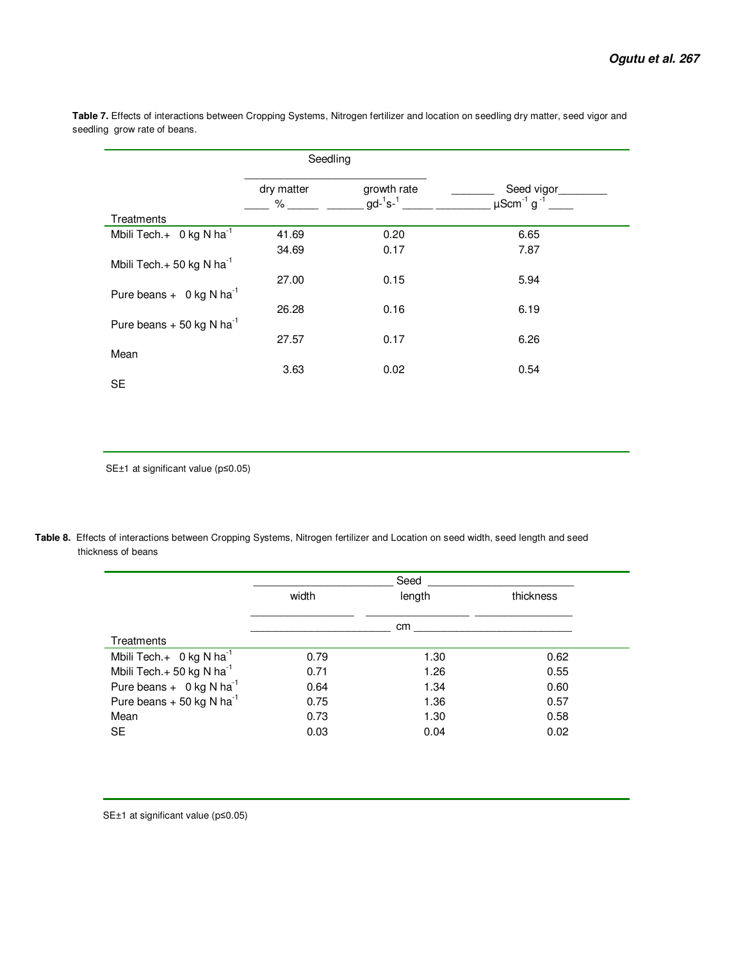|                                         | Seedling        |                                 |                                                       |
|-----------------------------------------|-----------------|---------------------------------|-------------------------------------------------------|
|                                         | dry matter<br>% | growth rate<br>$gd^{-1} s^{-1}$ | Seed vigor<br>$\mu$ Scm <sup>-1</sup> g <sup>-1</sup> |
| Treatments                              |                 |                                 |                                                       |
| Mbili Tech. $+$ 0 kg N ha <sup>-1</sup> | 41.69           | 0.20                            | 6.65                                                  |
|                                         | 34.69           | 0.17                            | 7.87                                                  |
| Mbili Tech. $+50$ kg N ha <sup>-1</sup> |                 |                                 |                                                       |
|                                         | 27.00           | 0.15                            | 5.94                                                  |
| Pure beans $+$ 0 kg N ha <sup>-1</sup>  |                 |                                 |                                                       |
|                                         | 26.28           | 0.16                            | 6.19                                                  |
| Pure beans $+50$ kg N ha <sup>-1</sup>  |                 |                                 |                                                       |
|                                         | 27.57           | 0.17                            | 6.26                                                  |
| Mean                                    |                 |                                 |                                                       |
|                                         | 3.63            | 0.02                            | 0.54                                                  |
| <b>SE</b>                               |                 |                                 |                                                       |

 **Table 7.** Effects of interactions between Cropping Systems, Nitrogen fertilizer and location on seedling dry matter, seed vigor and seedling grow rate of beans.

SE±1 at significant value (p≤0.05)

**Table 8.** Effects of interactions between Cropping Systems, Nitrogen fertilizer and Location on seed width, seed length and seed thickness of beans

|                                         | Seed  |        |           |  |  |  |
|-----------------------------------------|-------|--------|-----------|--|--|--|
|                                         | width | length | thickness |  |  |  |
|                                         |       | cm     |           |  |  |  |
| Treatments                              |       |        |           |  |  |  |
| Mbili Tech. $+$ 0 kg N ha <sup>-1</sup> | 0.79  | 1.30   | 0.62      |  |  |  |
| Mbili Tech.+ 50 kg N ha <sup>-1</sup>   | 0.71  | 1.26   | 0.55      |  |  |  |
| Pure beans $+$ 0 kg N ha <sup>-1</sup>  | 0.64  | 1.34   | 0.60      |  |  |  |
| Pure beans $+50$ kg N ha <sup>-1</sup>  | 0.75  | 1.36   | 0.57      |  |  |  |
| Mean                                    | 0.73  | 1.30   | 0.58      |  |  |  |
| <b>SE</b>                               | 0.03  | 0.04   | 0.02      |  |  |  |

SE±1 at significant value (p≤0.05)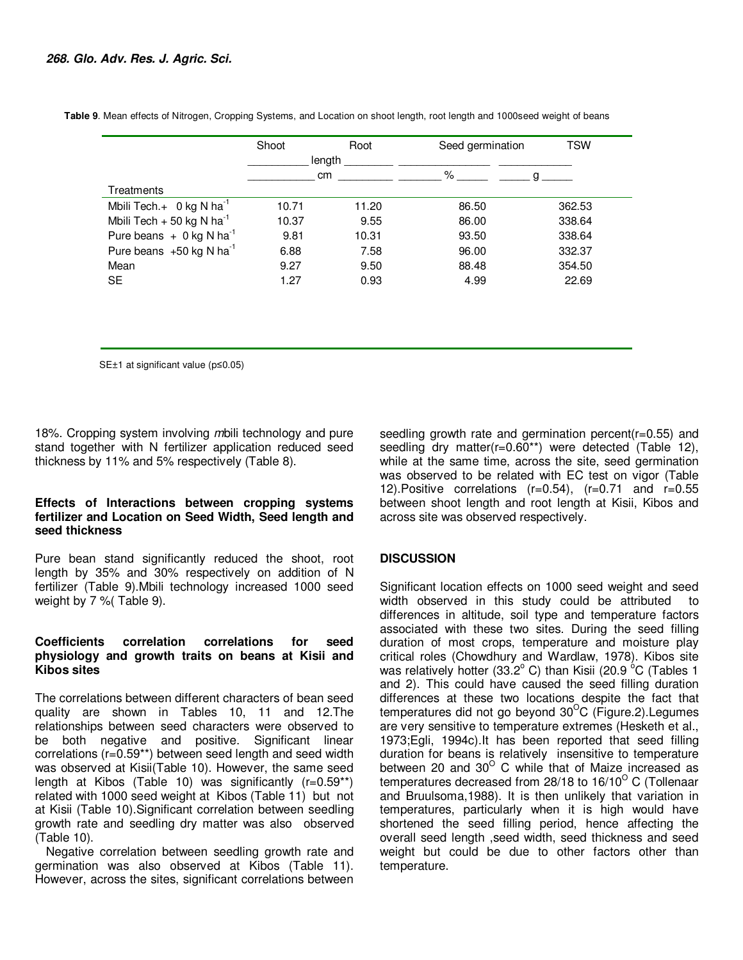|                                         | Shoot  | Root  | Seed germination | TSW    |
|-----------------------------------------|--------|-------|------------------|--------|
|                                         | length |       |                  |        |
|                                         | cm     |       | %                |        |
| Treatments                              |        |       |                  |        |
| Mbili Tech. $+$ 0 kg N ha <sup>-1</sup> | 10.71  | 11.20 | 86.50            | 362.53 |
| Mbili Tech + 50 kg N ha <sup>-1</sup>   | 10.37  | 9.55  | 86.00            | 338.64 |
| Pure beans $+ 0$ kg N ha <sup>-1</sup>  | 9.81   | 10.31 | 93.50            | 338.64 |
| Pure beans $+50$ kg N ha <sup>-1</sup>  | 6.88   | 7.58  | 96.00            | 332.37 |
| Mean                                    | 9.27   | 9.50  | 88.48            | 354.50 |
| <b>SE</b>                               | 1.27   | 0.93  | 4.99             | 22.69  |

 **Table 9**. Mean effects of Nitrogen, Cropping Systems, and Location on shoot length, root length and 1000seed weight of beans

SE±1 at significant value (p≤0.05)

18%. Cropping system involving *m*bili technology and pure stand together with N fertilizer application reduced seed thickness by 11% and 5% respectively (Table 8).

#### **Effects of Interactions between cropping systems fertilizer and Location on Seed Width, Seed length and seed thickness**

Pure bean stand significantly reduced the shoot, root length by 35% and 30% respectively on addition of N fertilizer (Table 9).Mbili technology increased 1000 seed weight by 7 %( Table 9).

## **Coefficients correlation correlations for seed physiology and growth traits on beans at Kisii and Kibos sites**

The correlations between different characters of bean seed quality are shown in Tables 10, 11 and 12.The relationships between seed characters were observed to be both negative and positive. Significant linear correlations (r=0.59\*\*) between seed length and seed width was observed at Kisii(Table 10). However, the same seed length at Kibos (Table 10) was significantly  $(r=0.59**)$ related with 1000 seed weight at Kibos (Table 11) but not at Kisii (Table 10).Significant correlation between seedling growth rate and seedling dry matter was also observed (Table 10).

Negative correlation between seedling growth rate and germination was also observed at Kibos (Table 11). However, across the sites, significant correlations between seedling growth rate and germination percent(r=0.55) and seedling dry matter(r=0.60\*\*) were detected (Table 12), while at the same time, across the site, seed germination was observed to be related with EC test on vigor (Table 12). Positive correlations  $(r=0.54)$ ,  $(r=0.71$  and  $r=0.55$ between shoot length and root length at Kisii, Kibos and across site was observed respectively.

## **DISCUSSION**

Significant location effects on 1000 seed weight and seed width observed in this study could be attributed to differences in altitude, soil type and temperature factors associated with these two sites. During the seed filling duration of most crops, temperature and moisture play critical roles (Chowdhury and Wardlaw, 1978). Kibos site was relatively hotter (33.2 $^{\circ}$  C) than Kisii (20.9  $^{\circ}$ C (Tables 1 and 2). This could have caused the seed filling duration differences at these two locations despite the fact that temperatures did not go beyond  $30^{\circ}$ C (Figure.2). Legumes are very sensitive to temperature extremes (Hesketh et al., 1973;Egli, 1994c).It has been reported that seed filling duration for beans is relatively insensitive to temperature between 20 and 30 $^{\circ}$  C while that of Maize increased as temperatures decreased from 28/18 to 16/10<sup>o</sup> C (Tollenaar and Bruulsoma,1988). It is then unlikely that variation in temperatures, particularly when it is high would have shortened the seed filling period, hence affecting the overall seed length ,seed width, seed thickness and seed weight but could be due to other factors other than temperature.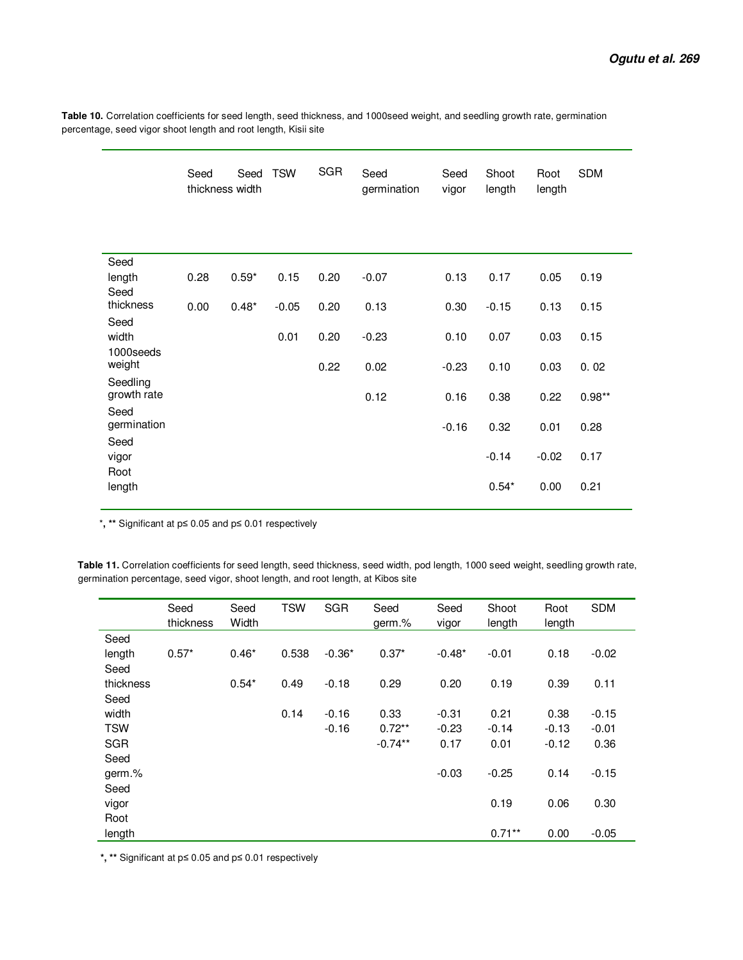**Table 10.** Correlation coefficients for seed length, seed thickness, and 1000seed weight, and seedling growth rate, germination percentage, seed vigor shoot length and root length, Kisii site

|                         | Seed | Seed<br>thickness width | <b>TSW</b> | SGR  | Seed<br>germination | Seed<br>vigor | Shoot<br>length | Root<br>length | <b>SDM</b> |
|-------------------------|------|-------------------------|------------|------|---------------------|---------------|-----------------|----------------|------------|
|                         |      |                         |            |      |                     |               |                 |                |            |
| Seed                    |      |                         |            |      |                     |               |                 |                |            |
| length                  | 0.28 | $0.59*$                 | 0.15       | 0.20 | $-0.07$             | 0.13          | 0.17            | 0.05           | 0.19       |
| Seed<br>thickness       | 0.00 | $0.48*$                 | $-0.05$    | 0.20 | 0.13                | 0.30          | $-0.15$         | 0.13           | 0.15       |
| Seed                    |      |                         |            |      |                     |               |                 |                |            |
| width                   |      |                         | 0.01       | 0.20 | $-0.23$             | 0.10          | 0.07            | 0.03           | 0.15       |
| 1000seeds               |      |                         |            |      |                     |               |                 |                |            |
| weight                  |      |                         |            | 0.22 | 0.02                | $-0.23$       | 0.10            | 0.03           | 0.02       |
| Seedling<br>growth rate |      |                         |            |      |                     |               |                 |                |            |
| Seed                    |      |                         |            |      | 0.12                | 0.16          | 0.38            | 0.22           | $0.98**$   |
| germination             |      |                         |            |      |                     | $-0.16$       | 0.32            | 0.01           | 0.28       |
| Seed                    |      |                         |            |      |                     |               |                 |                |            |
| vigor                   |      |                         |            |      |                     |               | $-0.14$         | $-0.02$        | 0.17       |
| Root                    |      |                         |            |      |                     |               |                 |                |            |
| length                  |      |                         |            |      |                     |               | $0.54*$         | 0.00           | 0.21       |
|                         |      |                         |            |      |                     |               |                 |                |            |

\***, \*\*** Significant at p≤ 0.05 and p≤ 0.01 respectively

 **Table 11.** Correlation coefficients for seed length, seed thickness, seed width, pod length, 1000 seed weight, seedling growth rate, germination percentage, seed vigor, shoot length, and root length, at Kibos site

|            | Seed<br>thickness | Seed<br>Width | <b>TSW</b> | <b>SGR</b> | Seed<br>germ.% | Seed<br>vigor | Shoot<br>length | Root<br>length | <b>SDM</b> |
|------------|-------------------|---------------|------------|------------|----------------|---------------|-----------------|----------------|------------|
| Seed       |                   |               |            |            |                |               |                 |                |            |
| length     | $0.57*$           | $0.46*$       | 0.538      | $-0.36*$   | $0.37*$        | $-0.48*$      | $-0.01$         | 0.18           | $-0.02$    |
| Seed       |                   |               |            |            |                |               |                 |                |            |
| thickness  |                   | $0.54*$       | 0.49       | $-0.18$    | 0.29           | 0.20          | 0.19            | 0.39           | 0.11       |
| Seed       |                   |               |            |            |                |               |                 |                |            |
| width      |                   |               | 0.14       | $-0.16$    | 0.33           | $-0.31$       | 0.21            | 0.38           | $-0.15$    |
| <b>TSW</b> |                   |               |            | $-0.16$    | $0.72**$       | $-0.23$       | $-0.14$         | $-0.13$        | $-0.01$    |
| <b>SGR</b> |                   |               |            |            | $-0.74**$      | 0.17          | 0.01            | $-0.12$        | 0.36       |
| Seed       |                   |               |            |            |                |               |                 |                |            |
| germ.%     |                   |               |            |            |                | $-0.03$       | $-0.25$         | 0.14           | $-0.15$    |
| Seed       |                   |               |            |            |                |               |                 |                |            |
| vigor      |                   |               |            |            |                |               | 0.19            | 0.06           | 0.30       |
| Root       |                   |               |            |            |                |               |                 |                |            |
| length     |                   |               |            |            |                |               | $0.71***$       | 0.00           | $-0.05$    |

**\*, \*\*** Significant at p≤ 0.05 and p≤ 0.01 respectively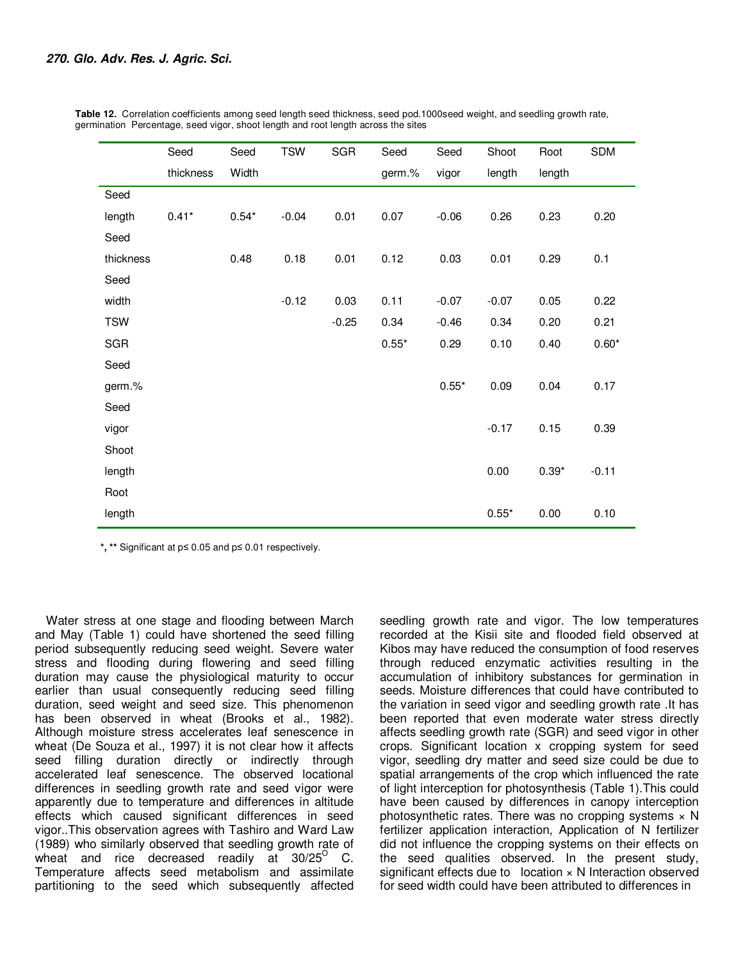|            | Seed      | Seed    | <b>TSW</b> | <b>SGR</b> | Seed    | Seed    | Shoot   | Root    | <b>SDM</b> |
|------------|-----------|---------|------------|------------|---------|---------|---------|---------|------------|
|            | thickness | Width   |            |            | germ.%  | vigor   | length  | length  |            |
| Seed       |           |         |            |            |         |         |         |         |            |
| length     | $0.41*$   | $0.54*$ | $-0.04$    | 0.01       | 0.07    | $-0.06$ | 0.26    | 0.23    | 0.20       |
| Seed       |           |         |            |            |         |         |         |         |            |
| thickness  |           | 0.48    | 0.18       | 0.01       | 0.12    | 0.03    | 0.01    | 0.29    | 0.1        |
| Seed       |           |         |            |            |         |         |         |         |            |
| width      |           |         | $-0.12$    | 0.03       | 0.11    | $-0.07$ | $-0.07$ | 0.05    | 0.22       |
| <b>TSW</b> |           |         |            | $-0.25$    | 0.34    | $-0.46$ | 0.34    | 0.20    | 0.21       |
| <b>SGR</b> |           |         |            |            | $0.55*$ | 0.29    | 0.10    | 0.40    | $0.60*$    |
| Seed       |           |         |            |            |         |         |         |         |            |
| germ.%     |           |         |            |            |         | $0.55*$ | 0.09    | 0.04    | 0.17       |
| Seed       |           |         |            |            |         |         |         |         |            |
| vigor      |           |         |            |            |         |         | $-0.17$ | 0.15    | 0.39       |
| Shoot      |           |         |            |            |         |         |         |         |            |
| length     |           |         |            |            |         |         | 0.00    | $0.39*$ | $-0.11$    |
| Root       |           |         |            |            |         |         |         |         |            |
| length     |           |         |            |            |         |         | $0.55*$ | 0.00    | 0.10       |

 **Table 12.** Correlation coefficients among seed length seed thickness, seed pod.1000seed weight, and seedling growth rate, germination Percentage, seed vigor, shoot length and root length across the sites

**\*, \*\*** Significant at p≤ 0.05 and p≤ 0.01 respectively.

Water stress at one stage and flooding between March and May (Table 1) could have shortened the seed filling period subsequently reducing seed weight. Severe water stress and flooding during flowering and seed filling duration may cause the physiological maturity to occur earlier than usual consequently reducing seed filling duration, seed weight and seed size. This phenomenon has been observed in wheat (Brooks et al., 1982). Although moisture stress accelerates leaf senescence in wheat (De Souza et al., 1997) it is not clear how it affects seed filling duration directly or indirectly through accelerated leaf senescence. The observed locational differences in seedling growth rate and seed vigor were apparently due to temperature and differences in altitude effects which caused significant differences in seed vigor..This observation agrees with Tashiro and Ward Law (1989) who similarly observed that seedling growth rate of wheat and rice decreased readily at  $30/25^{\circ}$  C. Temperature affects seed metabolism and assimilate partitioning to the seed which subsequently affected

seedling growth rate and vigor. The low temperatures recorded at the Kisii site and flooded field observed at Kibos may have reduced the consumption of food reserves through reduced enzymatic activities resulting in the accumulation of inhibitory substances for germination in seeds. Moisture differences that could have contributed to the variation in seed vigor and seedling growth rate .It has been reported that even moderate water stress directly affects seedling growth rate (SGR) and seed vigor in other crops. Significant location x cropping system for seed vigor, seedling dry matter and seed size could be due to spatial arrangements of the crop which influenced the rate of light interception for photosynthesis (Table 1).This could have been caused by differences in canopy interception photosynthetic rates. There was no cropping systems  $\times$  N fertilizer application interaction, Application of N fertilizer did not influence the cropping systems on their effects on the seed qualities observed. In the present study, significant effects due to  $\log$  location  $\times$  N Interaction observed for seed width could have been attributed to differences in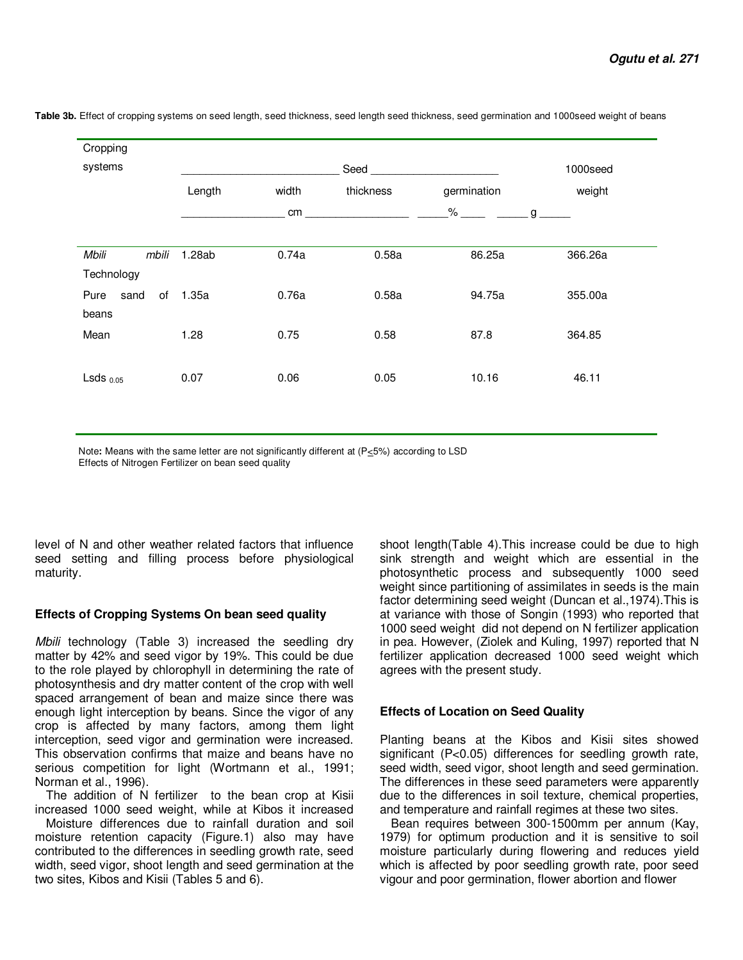| Cropping                     |        |       |           |             |             |
|------------------------------|--------|-------|-----------|-------------|-------------|
| systems                      |        |       | Seed      |             | 1000seed    |
|                              | Length | width | thickness | germination | weight      |
|                              |        | cm    |           | %           | $g_{\perp}$ |
| mbili<br>Mbili<br>Technology | 1.28ab | 0.74a | 0.58a     | 86.25a      | 366.26a     |
| of<br>Pure<br>sand<br>beans  | 1.35a  | 0.76a | 0.58a     | 94.75a      | 355.00a     |
| Mean                         | 1.28   | 0.75  | 0.58      | 87.8        | 364.85      |
| $LSds$ $0.05$                | 0.07   | 0.06  | 0.05      | 10.16       | 46.11       |

Table 3b. Effect of cropping systems on seed length, seed thickness, seed length seed thickness, seed germination and 1000seed weight of beans

Note**:** Means with the same letter are not significantly different at (P<5%) according to LSD Effects of Nitrogen Fertilizer on bean seed quality

level of N and other weather related factors that influence seed setting and filling process before physiological maturity.

## **Effects of Cropping Systems On bean seed quality**

*Mbili* technology (Table 3) increased the seedling dry matter by 42% and seed vigor by 19%. This could be due to the role played by chlorophyll in determining the rate of photosynthesis and dry matter content of the crop with well spaced arrangement of bean and maize since there was enough light interception by beans. Since the vigor of any crop is affected by many factors, among them light interception, seed vigor and germination were increased. This observation confirms that maize and beans have no serious competition for light (Wortmann et al., 1991; Norman et al., 1996).

The addition of N fertilizer to the bean crop at Kisii increased 1000 seed weight, while at Kibos it increased

Moisture differences due to rainfall duration and soil moisture retention capacity (Figure.1) also may have contributed to the differences in seedling growth rate, seed width, seed vigor, shoot length and seed germination at the two sites, Kibos and Kisii (Tables 5 and 6).

shoot length(Table 4).This increase could be due to high sink strength and weight which are essential in the photosynthetic process and subsequently 1000 seed weight since partitioning of assimilates in seeds is the main factor determining seed weight (Duncan et al.,1974).This is at variance with those of Songin (1993) who reported that 1000 seed weight did not depend on N fertilizer application in pea. However, (Ziolek and Kuling, 1997) reported that N fertilizer application decreased 1000 seed weight which agrees with the present study.

## **Effects of Location on Seed Quality**

Planting beans at the Kibos and Kisii sites showed significant (P<0.05) differences for seedling growth rate, seed width, seed vigor, shoot length and seed germination. The differences in these seed parameters were apparently due to the differences in soil texture, chemical properties, and temperature and rainfall regimes at these two sites.

Bean requires between 300-1500mm per annum (Kay, 1979) for optimum production and it is sensitive to soil moisture particularly during flowering and reduces yield which is affected by poor seedling growth rate, poor seed vigour and poor germination, flower abortion and flower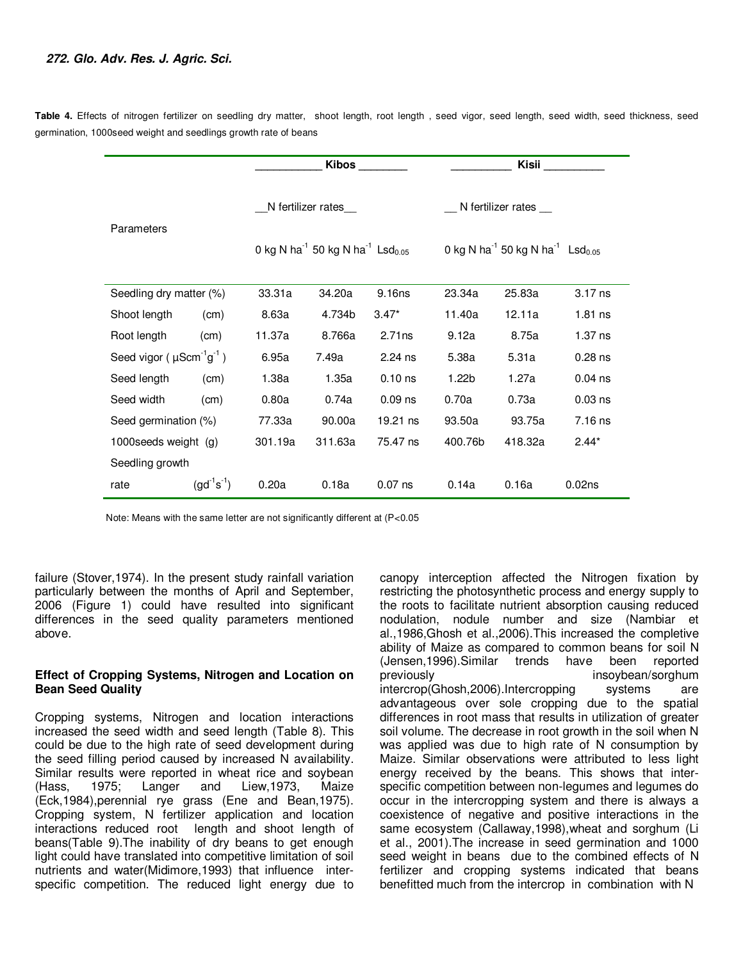**Table 4.** Effects of nitrogen fertilizer on seedling dry matter, shoot length, root length , seed vigor, seed length, seed width, seed thickness, seed germination, 1000seed weight and seedlings growth rate of beans

|                                                        |                   |         | <b>Kibos</b>                                                         |           |         | Kisii                                                                |                    |  |  |
|--------------------------------------------------------|-------------------|---------|----------------------------------------------------------------------|-----------|---------|----------------------------------------------------------------------|--------------------|--|--|
|                                                        |                   |         | N fertilizer rates_                                                  |           |         | N fertilizer rates __                                                |                    |  |  |
| Parameters                                             |                   |         | 0 kg N ha <sup>-1</sup> 50 kg N ha <sup>-1</sup> Lsd <sub>0.05</sub> |           |         | 0 kg N ha <sup>-1</sup> 50 kg N ha <sup>-1</sup> Lsd <sub>0.05</sub> |                    |  |  |
| Seedling dry matter (%)                                |                   | 33.31a  | 34.20a                                                               | 9.16ns    | 23.34a  | 25.83a                                                               | $3.17$ ns          |  |  |
| Shoot length                                           | (cm)              | 8.63a   | 4.734b                                                               | $3.47*$   | 11.40a  | 12.11a                                                               | $1.81$ ns          |  |  |
| Root length                                            | (cm)              | 11.37a  | 8.766a                                                               | 2.71ns    | 9.12a   | 8.75a                                                                | $1.37$ ns          |  |  |
| Seed vigor ( $\mu$ Scm <sup>-1</sup> g <sup>-1</sup> ) |                   | 6.95a   | 7.49a                                                                | $2.24$ ns | 5.38a   | 5.31a                                                                | $0.28$ ns          |  |  |
| Seed length                                            | (cm)              | 1.38a   | 1.35a                                                                | $0.10$ ns | 1.22b   | 1.27a                                                                | $0.04$ ns          |  |  |
| Seed width                                             | (cm)              | 0.80a   | 0.74a                                                                | $0.09$ ns | 0.70a   | 0.73a                                                                | $0.03$ ns          |  |  |
| Seed germination (%)                                   |                   | 77.33a  | 90.00a                                                               | 19.21 ns  | 93.50a  | 93.75a                                                               | $7.16$ ns          |  |  |
| 1000 seeds weight (g)                                  |                   | 301.19a | 311.63a                                                              | 75.47 ns  | 400.76b | 418.32a                                                              | $2.44*$            |  |  |
| Seedling growth                                        |                   |         |                                                                      |           |         |                                                                      |                    |  |  |
| rate                                                   | $(gd^{-1}s^{-1})$ | 0.20a   | 0.18a                                                                | $0.07$ ns | 0.14a   | 0.16a                                                                | 0.02 <sub>ns</sub> |  |  |

Note: Means with the same letter are not significantly different at (P<0.05

failure (Stover,1974). In the present study rainfall variation particularly between the months of April and September, 2006 (Figure 1) could have resulted into significant differences in the seed quality parameters mentioned above.

## **Effect of Cropping Systems, Nitrogen and Location on Bean Seed Quality**

Cropping systems, Nitrogen and location interactions increased the seed width and seed length (Table 8). This could be due to the high rate of seed development during the seed filling period caused by increased N availability. Similar results were reported in wheat rice and soybean (Hass, 1975; Langer and Liew,1973, Maize (Eck,1984),perennial rye grass (Ene and Bean,1975). Cropping system, N fertilizer application and location interactions reduced root length and shoot length of beans(Table 9).The inability of dry beans to get enough light could have translated into competitive limitation of soil nutrients and water(Midimore,1993) that influence interspecific competition. The reduced light energy due to

canopy interception affected the Nitrogen fixation by restricting the photosynthetic process and energy supply to the roots to facilitate nutrient absorption causing reduced nodulation, nodule number and size (Nambiar et al.,1986,Ghosh et al.,2006).This increased the completive ability of Maize as compared to common beans for soil N (Jensen,1996).Similar trends have been reported previously insoybean/sorghum intercrop(Ghosh, 2006). Intercropping systems are advantageous over sole cropping due to the spatial differences in root mass that results in utilization of greater soil volume. The decrease in root growth in the soil when N was applied was due to high rate of N consumption by Maize. Similar observations were attributed to less light energy received by the beans. This shows that interspecific competition between non-legumes and legumes do occur in the intercropping system and there is always a coexistence of negative and positive interactions in the same ecosystem (Callaway,1998),wheat and sorghum (Li et al., 2001).The increase in seed germination and 1000 seed weight in beans due to the combined effects of N fertilizer and cropping systems indicated that beans benefitted much from the intercrop in combination with N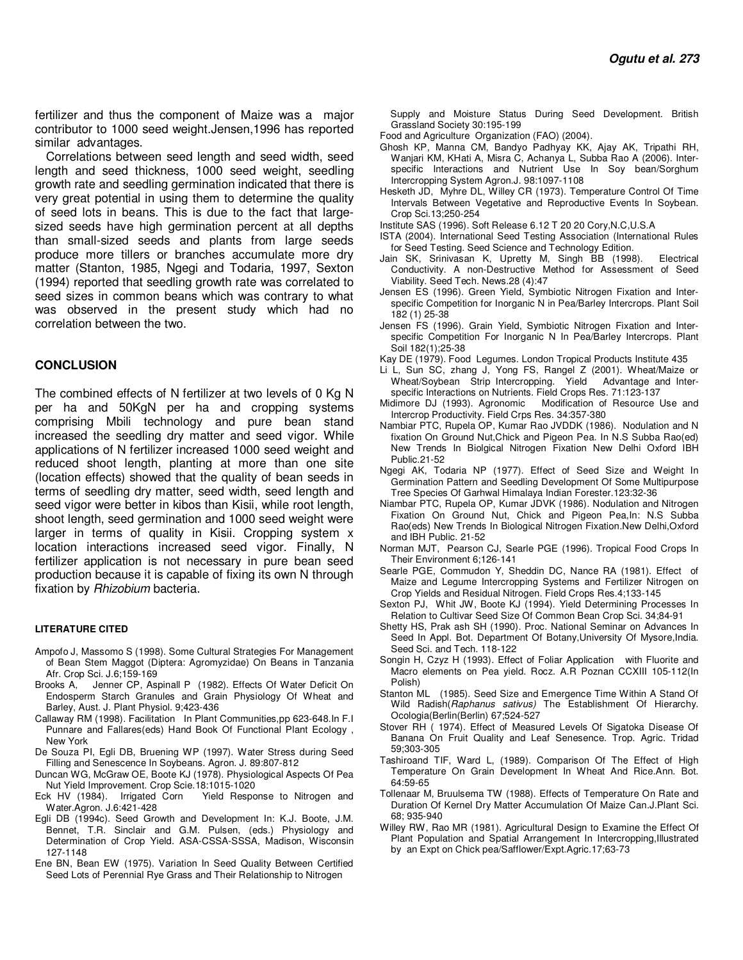fertilizer and thus the component of Maize was a major contributor to 1000 seed weight.Jensen,1996 has reported similar advantages.

Correlations between seed length and seed width, seed length and seed thickness, 1000 seed weight, seedling growth rate and seedling germination indicated that there is very great potential in using them to determine the quality of seed lots in beans. This is due to the fact that largesized seeds have high germination percent at all depths than small-sized seeds and plants from large seeds produce more tillers or branches accumulate more dry matter (Stanton, 1985, Ngegi and Todaria, 1997, Sexton (1994) reported that seedling growth rate was correlated to seed sizes in common beans which was contrary to what was observed in the present study which had no correlation between the two.

#### **CONCLUSION**

The combined effects of N fertilizer at two levels of 0 Kg N per ha and 50KgN per ha and cropping systems comprising Mbili technology and pure bean stand increased the seedling dry matter and seed vigor. While applications of N fertilizer increased 1000 seed weight and reduced shoot length, planting at more than one site (location effects) showed that the quality of bean seeds in terms of seedling dry matter, seed width, seed length and seed vigor were better in kibos than Kisii, while root length, shoot length, seed germination and 1000 seed weight were larger in terms of quality in Kisii. Cropping system x location interactions increased seed vigor. Finally, N fertilizer application is not necessary in pure bean seed production because it is capable of fixing its own N through fixation by *Rhizobium* bacteria.

#### **LITERATURE CITED**

- Ampofo J, Massomo S (1998). Some Cultural Strategies For Management of Bean Stem Maggot (Diptera: Agromyzidae) On Beans in Tanzania Afr. Crop Sci. J.6;159-169<br>Brooks A, Jenner CP, As
- Jenner CP, Aspinall P (1982). Effects Of Water Deficit On Endosperm Starch Granules and Grain Physiology Of Wheat and Barley, Aust. J. Plant Physiol. 9;423-436
- Callaway RM (1998). Facilitation In Plant Communities,pp 623-648.In F.I Punnare and Fallares(eds) Hand Book Of Functional Plant Ecology , New York
- De Souza PI, Egli DB, Bruening WP (1997). Water Stress during Seed Filling and Senescence In Soybeans. Agron. J. 89:807-812
- Duncan WG, McGraw OE, Boote KJ (1978). Physiological Aspects Of Pea Nut Yield Improvement. Crop Scie.18:1015-1020
- Eck HV (1984). Irrigated Corn Yield Response to Nitrogen and Water.Agron. J.6:421-428
- Egli DB (1994c). Seed Growth and Development In: K.J. Boote, J.M. Bennet, T.R. Sinclair and G.M. Pulsen, (eds.) Physiology and Determination of Crop Yield. ASA-CSSA-SSSA, Madison, Wisconsin 127-1148
- Ene BN, Bean EW (1975). Variation In Seed Quality Between Certified Seed Lots of Perennial Rye Grass and Their Relationship to Nitrogen

 Supply and Moisture Status During Seed Development. British Grassland Society 30:195-199

- Food and Agriculture Organization (FAO) (2004).
- Ghosh KP, Manna CM, Bandyo Padhyay KK, Ajay AK, Tripathi RH, Wanjari KM, KHati A, Misra C, Achanya L, Subba Rao A (2006). Interspecific Interactions and Nutrient Use In Soy bean/Sorghum Intercropping System Agron.J. 98:1097-1108
- Hesketh JD, Myhre DL, Willey CR (1973). Temperature Control Of Time Intervals Between Vegetative and Reproductive Events In Soybean. Crop Sci.13;250-254
- Institute SAS (1996). Soft Release 6.12 T 20 20 Cory,N.C,U.S.A
- ISTA (2004). International Seed Testing Association (International Rules for Seed Testing. Seed Science and Technology Edition.
- Jain SK, Srinivasan K, Upretty M, Singh BB (1998). Electrical Conductivity. A non-Destructive Method for Assessment of Seed Viability. Seed Tech. News.28 (4):47
- Jensen ES (1996). Green Yield, Symbiotic Nitrogen Fixation and Interspecific Competition for Inorganic N in Pea/Barley Intercrops. Plant Soil 182 (1) 25-38
- Jensen FS (1996). Grain Yield, Symbiotic Nitrogen Fixation and Interspecific Competition For Inorganic N In Pea/Barley Intercrops. Plant Soil 182(1);25-38
- Kay DE (1979). Food Legumes. London Tropical Products Institute 435
- Li L, Sun SC, zhang J, Yong FS, Rangel Z (2001). Wheat/Maize or Wheat/Soybean Strip Intercropping. Yield Advantage and Interspecific Interactions on Nutrients. Field Crops Res. 71:123-137
- Midimore DJ (1993). Agronomic Modification of Resource Use and Intercrop Productivity. Field Crps Res. 34:357-380
- Nambiar PTC, Rupela OP, Kumar Rao JVDDK (1986). Nodulation and N fixation On Ground Nut,Chick and Pigeon Pea. In N.S Subba Rao(ed) New Trends In Biolgical Nitrogen Fixation New Delhi Oxford IBH Public.21-52
- Ngegi AK, Todaria NP (1977). Effect of Seed Size and Weight In Germination Pattern and Seedling Development Of Some Multipurpose Tree Species Of Garhwal Himalaya Indian Forester.123:32-36
- Niambar PTC, Rupela OP, Kumar JDVK (1986). Nodulation and Nitrogen Fixation On Ground Nut, Chick and Pigeon Pea,In: N.S Subba Rao(eds) New Trends In Biological Nitrogen Fixation.New Delhi,Oxford and IBH Public. 21-52
- Norman MJT, Pearson CJ, Searle PGE (1996). Tropical Food Crops In Their Environment 6;126-141
- Searle PGE, Commudon Y, Sheddin DC, Nance RA (1981). Effect of Maize and Legume Intercropping Systems and Fertilizer Nitrogen on Crop Yields and Residual Nitrogen. Field Crops Res.4;133-145
- Sexton PJ, Whit JW, Boote KJ (1994). Yield Determining Processes In Relation to Cultivar Seed Size Of Common Bean Crop Sci. 34;84-91
- Shetty HS, Prak ash SH (1990). Proc. National Seminar on Advances In Seed In Appl. Bot. Department Of Botany,University Of Mysore,India. Seed Sci. and Tech. 118-122
- Songin H, Czyz H (1993). Effect of Foliar Application with Fluorite and Macro elements on Pea yield. Rocz. A.R Poznan CCXIII 105-112(In Polish)
- Stanton ML (1985). Seed Size and Emergence Time Within A Stand Of Wild Radish(*Raphanus sativus)* The Establishment Of Hierarchy. Ocologia(Berlin(Berlin) 67;524-527
- Stover RH ( 1974). Effect of Measured Levels Of Sigatoka Disease Of Banana On Fruit Quality and Leaf Senesence. Trop. Agric. Tridad 59;303-305
- Tashiroand TIF, Ward L, (1989). Comparison Of The Effect of High Temperature On Grain Development In Wheat And Rice.Ann. Bot. 64:59-65
- Tollenaar M, Bruulsema TW (1988). Effects of Temperature On Rate and Duration Of Kernel Dry Matter Accumulation Of Maize Can.J.Plant Sci. 68; 935-940
- Willey RW, Rao MR (1981). Agricultural Design to Examine the Effect Of Plant Population and Spatial Arrangement In Intercropping,Illustrated by an Expt on Chick pea/Safflower/Expt.Agric.17;63-73